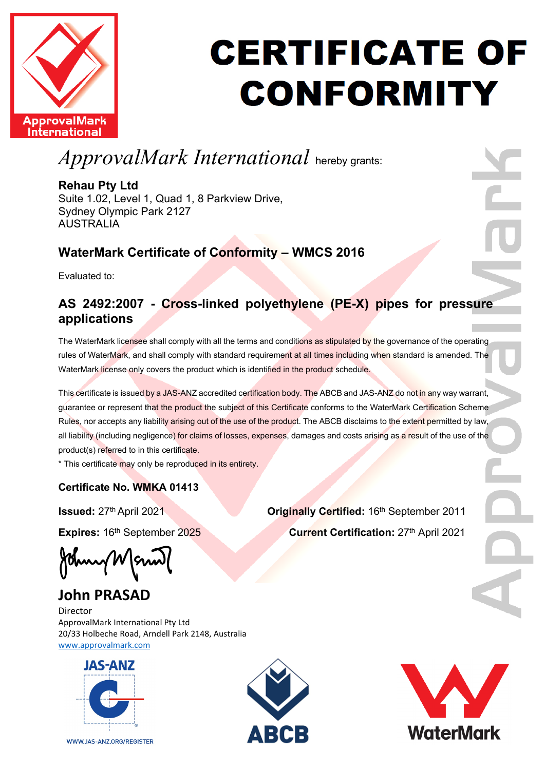

# **CERTIFICATE OF CONFORMITY**

*ApprovalMark International* hereby grants:

### **Rehau Pty Ltd**

Suite 1.02, Level 1, Quad 1, 8 Parkview Drive, Sydney Olympic Park 2127 AUSTRALIA

## **WaterMark Certificate of Conformity – WMCS 2016**

Evaluated to:

### **AS 2492:2007 - Cross-linked polyethylene (PE-X) pipes for pressure applications**

The WaterMark licensee shall comply with all the terms and conditions as stipulated by the governance of the operating rules of WaterMark, and shall comply with standard requirement at all times including when standard is amended. The WaterMark license only covers the product which is identified in the product schedule.

This certificate is issued by a JAS-ANZ accredited certification body. The ABCB and JAS-ANZ do not in any way warrant, guarantee or represent that the product the subject of this Certificate conforms to the WaterMark Certification Scheme Rules, nor accepts any liability arising out of the use of the product. The ABCB disclaims to the extent permitted by law, all liability (including negligence) for claims of losses, expenses, damages and costs arising as a result of the use of the product(s) referred to in this certificate.

\* This certificate may only be reproduced in its entirety.

### **Certificate No. WMKA 01413**

Burry W

# **John PRASAD**

Director ApprovalMark International Pty Ltd 20/33 Holbeche Road, Arndell Park 2148, Australia [www.approvalmark.com](http://www.approvalmark.com/)



WWW.JAS-ANZ.ORG/REGISTER





**Issued:**  $27<sup>th</sup>$  April 2021 **Originally Certified:** 16<sup>th</sup> September 2011 **Expires:** 16<sup>th</sup> September 2025 **Current Certification:** 27<sup>th</sup> April 2021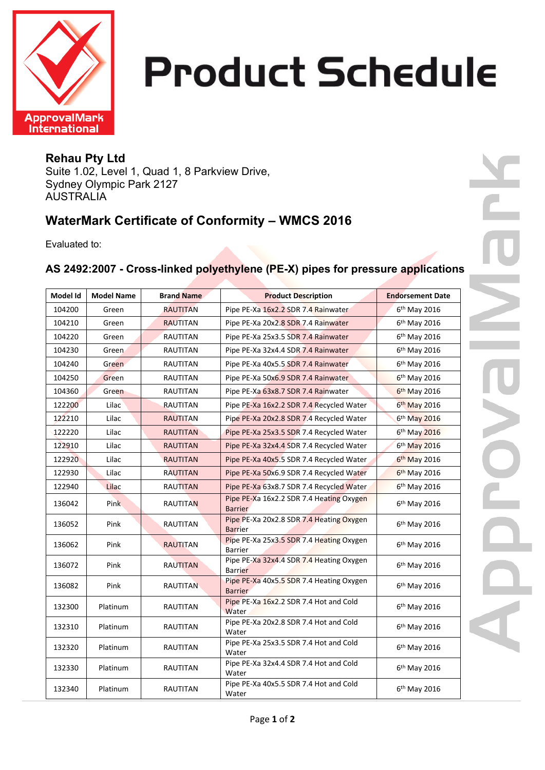

# **Product Schedule**

#### **Rehau Pty Ltd**  Suite 1.02, Level 1, Quad 1, 8 Parkview Drive, Sydney Olympic Park 2127 AUSTRALIA

### **WaterMark Certificate of Conformity – WMCS 2016**

Evaluated to:

### **AS 2492:2007 - Cross-linked polyethylene (PE-X) pipes for pressure applications**

| Model Id | <b>Model Name</b> | <b>Brand Name</b> | <b>Product Description</b>                                 | <b>Endorsement Date</b>  |
|----------|-------------------|-------------------|------------------------------------------------------------|--------------------------|
| 104200   | Green             | <b>RAUTITAN</b>   | Pipe PE-Xa 16x2.2 SDR 7.4 Rainwater                        | 6 <sup>th</sup> May 2016 |
| 104210   | Green             | <b>RAUTITAN</b>   | Pipe PE-Xa 20x2.8 SDR 7.4 Rainwater                        | 6 <sup>th</sup> May 2016 |
| 104220   | Green             | RAUTITAN          | Pipe PE-Xa 25x3.5 SDR 7.4 Rainwater                        | 6 <sup>th</sup> May 2016 |
| 104230   | Green             | RAUTITAN          | Pipe PE-Xa 32x4.4 SDR 7.4 Rainwater                        | 6 <sup>th</sup> May 2016 |
| 104240   | Green             | RAUTITAN          | Pipe PE-Xa 40x5.5 SDR 7.4 Rainwater                        | 6 <sup>th</sup> May 2016 |
| 104250   | Green             | RAUTITAN          | Pipe PE-Xa 50x6.9 SDR 7.4 Rainwater                        | $6th$ May 2016           |
| 104360   | Green             | RAUTITAN          | Pipe PE-Xa 63x8.7 SDR 7.4 Rainwater                        | 6 <sup>th</sup> May 2016 |
| 122200   | Lilac             | <b>RAUTITAN</b>   | Pipe PE-Xa 16x2.2 SDR 7.4 Recycled Water                   | 6 <sup>th</sup> May 2016 |
| 122210   | Lilac             | <b>RAUTITAN</b>   | Pipe PE-Xa 20x2.8 SDR 7.4 Recycled Water                   | 6 <sup>th</sup> May 2016 |
| 122220   | Lilac             | <b>RAUTITAN</b>   | Pipe PE-Xa 25x3.5 SDR 7.4 Recycled Water                   | 6 <sup>th</sup> May 2016 |
| 122910   | Lilac             | <b>RAUTITAN</b>   | Pipe PE-Xa 32x4.4 SDR 7.4 Recycled Water                   | 6 <sup>th</sup> May 2016 |
| 122920   | Lilac             | <b>RAUTITAN</b>   | Pipe PE-Xa 40x5.5 SDR 7.4 Recycled Water                   | $6th$ May 2016           |
| 122930   | Lilac             | <b>RAUTITAN</b>   | Pipe PE-Xa 50x6.9 SDR 7.4 Recycled Water                   | 6 <sup>th</sup> May 2016 |
| 122940   | Lilac             | <b>RAUTITAN</b>   | Pipe PE-Xa 63x8.7 SDR 7.4 Recycled Water                   | 6 <sup>th</sup> May 2016 |
| 136042   | Pink              | <b>RAUTITAN</b>   | Pipe PE-Xa 16x2.2 SDR 7.4 Heating Oxygen<br><b>Barrier</b> | 6 <sup>th</sup> May 2016 |
| 136052   | Pink              | RAUTITAN          | Pipe PE-Xa 20x2.8 SDR 7.4 Heating Oxygen<br><b>Barrier</b> | 6 <sup>th</sup> May 2016 |
| 136062   | Pink              | <b>RAUTITAN</b>   | Pipe PE-Xa 25x3.5 SDR 7.4 Heating Oxygen<br>Barrier        | 6 <sup>th</sup> May 2016 |
| 136072   | Pink              | <b>RAUTITAN</b>   | Pipe PE-Xa 32x4.4 SDR 7.4 Heating Oxygen<br><b>Barrier</b> | 6 <sup>th</sup> May 2016 |
| 136082   | Pink              | <b>RAUTITAN</b>   | Pipe PE-Xa 40x5.5 SDR 7.4 Heating Oxygen<br><b>Barrier</b> | 6 <sup>th</sup> May 2016 |
| 132300   | Platinum          | RAUTITAN          | Pipe PE-Xa 16x2.2 SDR 7.4 Hot and Cold<br>Water            | 6 <sup>th</sup> May 2016 |
| 132310   | Platinum          | RAUTITAN          | Pipe PE-Xa 20x2.8 SDR 7.4 Hot and Cold<br>Water            | 6 <sup>th</sup> May 2016 |
| 132320   | Platinum          | RAUTITAN          | Pipe PE-Xa 25x3.5 SDR 7.4 Hot and Cold<br>Water            | 6 <sup>th</sup> May 2016 |
| 132330   | Platinum          | RAUTITAN          | Pipe PE-Xa 32x4.4 SDR 7.4 Hot and Cold<br>Water            | 6 <sup>th</sup> May 2016 |
| 132340   | Platinum          | RAUTITAN          | Pipe PE-Xa 40x5.5 SDR 7.4 Hot and Cold<br>Water            | 6 <sup>th</sup> May 2016 |